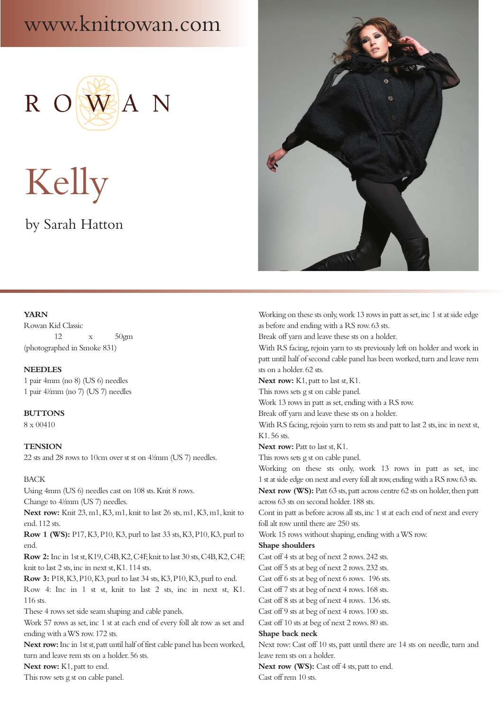# www.knitrowan.com



Kelly

# by Sarah Hatton

# **YARN**

Rowan Kid Classic 12 x 50gm (photographed in Smoke 831)

#### **NEEDLES**

1 pair 4mm (no 8) (US 6) needles 1 pair 4<sup> $\frac{1}{2}$ </sup>mm (no 7) (US 7) needles

**BUTTONS** 8 x 00410

# **TENSION**

22 sts and 28 rows to 10cm over st st on 4½mm (US 7) needles.

# BACK

Using 4mm (US 6) needles cast on 108 sts. Knit 8 rows. Change to  $4\frac{1}{2}$ mm (US 7) needles.

**Next row:** Knit 23, m1, K3, m1, knit to last 26 sts, m1, K3, m1, knit to end. 112 sts.

**Row 1 (WS):** P17, K3, P10, K3, purl to last 33 sts, K3, P10, K3, purl to end.

**Row 2:** Inc in 1st st, K19, C4B, K2, C4F, knit to last 30 sts, C4B, K2, C4F, knit to last 2 sts, inc in next st, K1. 114 sts.

**Row 3:** P18, K3, P10, K3, purl to last 34 sts, K3, P10, K3, purl to end.

Row 4: Inc in 1 st st, knit to last 2 sts, inc in next st, K1. 116 sts.

These 4 rows set side seam shaping and cable panels.

Work 57 rows as set, inc 1 st at each end of every foll alt row as set and ending with a WS row. 172 sts.

**Next row:** Inc in 1st st, patt until half of first cable panel has been worked, turn and leave rem sts on a holder. 56 sts.

**Next row:** K1, patt to end.

This row sets g st on cable panel.



Working on these sts only, work 13 rows in patt as set, inc 1 st at side edge as before and ending with a RS row. 63 sts.

Break off yarn and leave these sts on a holder.

With RS facing, rejoin yarn to sts previously left on holder and work in patt until half of second cable panel has been worked, turn and leave rem sts on a holder. 62 sts.

**Next row:** K1, patt to last st, K1.

This rows sets g st on cable panel.

Work 13 rows in patt as set, ending with a RS row.

Break off yarn and leave these sts on a holder.

With RS facing, rejoin yarn to rem sts and patt to last 2 sts, inc in next st, K1. 56 sts.

Next row: Patt to last st, K1.

This rows sets g st on cable panel.

Working on these sts only, work 13 rows in patt as set, inc 1 st at side edge on next and every foll alt row, ending with a RS row. 63 sts. **Next row (WS):** Patt 63 sts, patt across centre 62 sts on holder, then patt across 63 sts on second holder. 188 sts.

Cont in patt as before across all sts, inc 1 st at each end of next and every foll alt row until there are 250 sts.

Work 15 rows without shaping, ending with a WS row.

#### **Shape shoulders**

Cast off 4 sts at beg of next 2 rows. 242 sts.

Cast off 5 sts at beg of next 2 rows. 232 sts.

Cast off 6 sts at beg of next 6 rows. 196 sts.

Cast off 7 sts at beg of next 4 rows. 168 sts.

Cast off 8 sts at beg of next 4 rows. 136 sts.

Cast off 9 sts at beg of next 4 rows. 100 sts.

Cast off 10 sts at beg of next 2 rows. 80 sts.

# **Shape back neck**

Next row: Cast off 10 sts, patt until there are 14 sts on needle, turn and leave rem sts on a holder.

**Next row (WS):** Cast off 4 sts, patt to end.

Cast off rem 10 sts.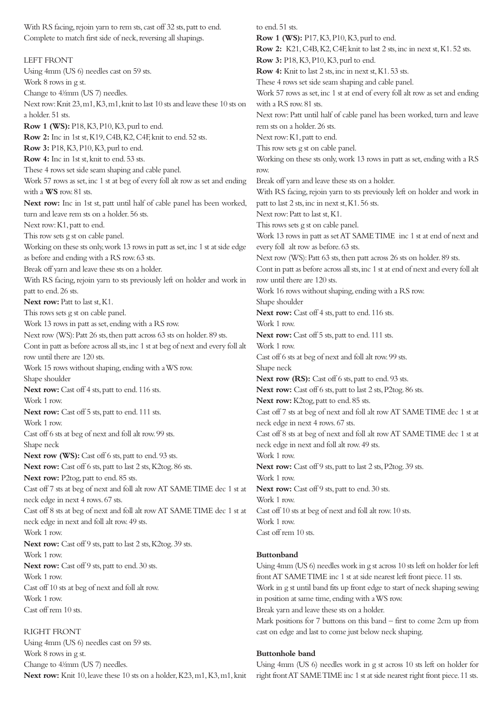Complete to match first side of neck, reversing all shapings. LEFT FRONT Using 4mm (US 6) needles cast on 59 sts. Work 8 rows in g st. Change to  $4\frac{1}{2}$ mm (US 7) needles. Next row: Knit 23, m1, K3, m1, knit to last 10 sts and leave these 10 sts on a holder. 51 sts. **Row 1 (WS):** P18, K3, P10, K3, purl to end. **Row 2:** Inc in 1st st, K19, C4B, K2, C4F, knit to end. 52 sts. **Row 3:** P18, K3, P10, K3, purl to end. **Row 4:** Inc in 1st st, knit to end. 53 sts. These 4 rows set side seam shaping and cable panel. Work 57 rows as set, inc 1 st at beg of every foll alt row as set and ending with a **WS** row. 81 sts. **Next row:** Inc in 1st st, patt until half of cable panel has been worked, turn and leave rem sts on a holder. 56 sts. Next row: K1, patt to end. This row sets g st on cable panel. Working on these sts only, work 13 rows in patt as set, inc 1 st at side edge as before and ending with a RS row. 63 sts. Break off yarn and leave these sts on a holder. With RS facing, rejoin yarn to sts previously left on holder and work in patt to end. 26 sts. **Next row: Patt to last st, K1.** This rows sets g st on cable panel. Work 13 rows in patt as set, ending with a RS row. Next row (WS): Patt 26 sts, then patt across 63 sts on holder. 89 sts. Cont in patt as before across all sts, inc 1 st at beg of next and every foll alt row until there are 120 sts. Work 15 rows without shaping, ending with a WS row. Shape shoulder Next row: Cast off 4 sts, patt to end. 116 sts. Work 1 row. Next row: Cast off 5 sts, patt to end. 111 sts. Work 1 row. Cast off 6 sts at beg of next and foll alt row. 99 sts. Shape neck Next row (WS): Cast off 6 sts, patt to end. 93 sts. **Next row:** Cast off 6 sts, patt to last 2 sts, K2tog. 86 sts. **Next row:** P2tog, patt to end. 85 sts. Cast off 7 sts at beg of next and foll alt row AT SAME TIME dec 1 st at neck edge in next 4 rows. 67 sts. Cast off 8 sts at beg of next and foll alt row AT SAME TIME dec 1 st at neck edge in next and foll alt row. 49 sts. Work 1 row. **Next row:** Cast off 9 sts, patt to last 2 sts, K2tog. 39 sts. Work 1 row. **Next row:** Cast off 9 sts, patt to end. 30 sts. Work 1 row. Cast off 10 sts at beg of next and foll alt row. Work 1 row. Cast off rem 10 sts.

With RS facing, rejoin yarn to rem sts, cast off 32 sts, patt to end.

# RIGHT FRONT

Using 4mm (US 6) needles cast on 59 sts. Work 8 rows in g st. Change to  $4\frac{1}{2}$ mm (US 7) needles. **Next row:** Knit 10, leave these 10 sts on a holder, K23, m1, K3, m1, knit

to end. 51 sts. **Row 1 (WS):** P17, K3, P10, K3, purl to end. **Row 2:** K21, C4B, K2, C4F, knit to last 2 sts, inc in next st, K1. 52 sts. **Row 3:** P18, K3, P10, K3, purl to end. **Row 4:** Knit to last 2 sts, inc in next st, K1. 53 sts. These 4 rows set side seam shaping and cable panel. Work 57 rows as set, inc 1 st at end of every foll alt row as set and ending with a RS row. 81 sts. Next row: Patt until half of cable panel has been worked, turn and leave rem sts on a holder. 26 sts. Next row: K1, patt to end. This row sets g st on cable panel. Working on these sts only, work 13 rows in patt as set, ending with a RS row. Break off yarn and leave these sts on a holder. With RS facing, rejoin yarn to sts previously left on holder and work in patt to last 2 sts, inc in next st, K1. 56 sts. Next row: Patt to last st, K1. This rows sets g st on cable panel. Work 13 rows in patt as set AT SAME TIME inc 1 st at end of next and every foll alt row as before. 63 sts. Next row (WS): Patt 63 sts, then patt across 26 sts on holder. 89 sts. Cont in patt as before across all sts, inc 1 st at end of next and every foll alt row until there are 120 sts. Work 16 rows without shaping, ending with a RS row. Shape shoulder Next row: Cast off 4 sts, patt to end. 116 sts. Work 1 row. Next row: Cast off 5 sts, patt to end. 111 sts. Work 1 row. Cast off 6 sts at beg of next and foll alt row. 99 sts. Shape neck Next row (RS): Cast off 6 sts, patt to end. 93 sts. **Next row:** Cast off 6 sts, patt to last 2 sts, P2tog. 86 sts. **Next row:** K2tog, patt to end. 85 sts. Cast off 7 sts at beg of next and foll alt row AT SAME TIME dec 1 st at neck edge in next 4 rows. 67 sts. Cast off 8 sts at beg of next and foll alt row AT SAME TIME dec 1 st at neck edge in next and foll alt row. 49 sts. Work 1 row. **Next row:** Cast off 9 sts, patt to last 2 sts, P2tog. 39 sts. Work 1 row. Next row: Cast off 9 sts, patt to end. 30 sts. Work 1 row. Cast off 10 sts at beg of next and foll alt row. 10 sts. Work 1 row. Cast off rem 10 sts.

#### **Buttonband**

Using 4mm (US 6) needles work in g st across 10 sts left on holder for left front AT SAME TIME inc 1 st at side nearest left front piece. 11 sts. Work in g st until band fits up front edge to start of neck shaping sewing in position at same time, ending with a WS row. Break yarn and leave these sts on a holder. Mark positions for 7 buttons on this band – first to come 2cm up from cast on edge and last to come just below neck shaping.

# **Buttonhole band**

Using 4mm (US 6) needles work in g st across 10 sts left on holder for right front AT SAME TIME inc 1 st at side nearest right front piece. 11 sts.